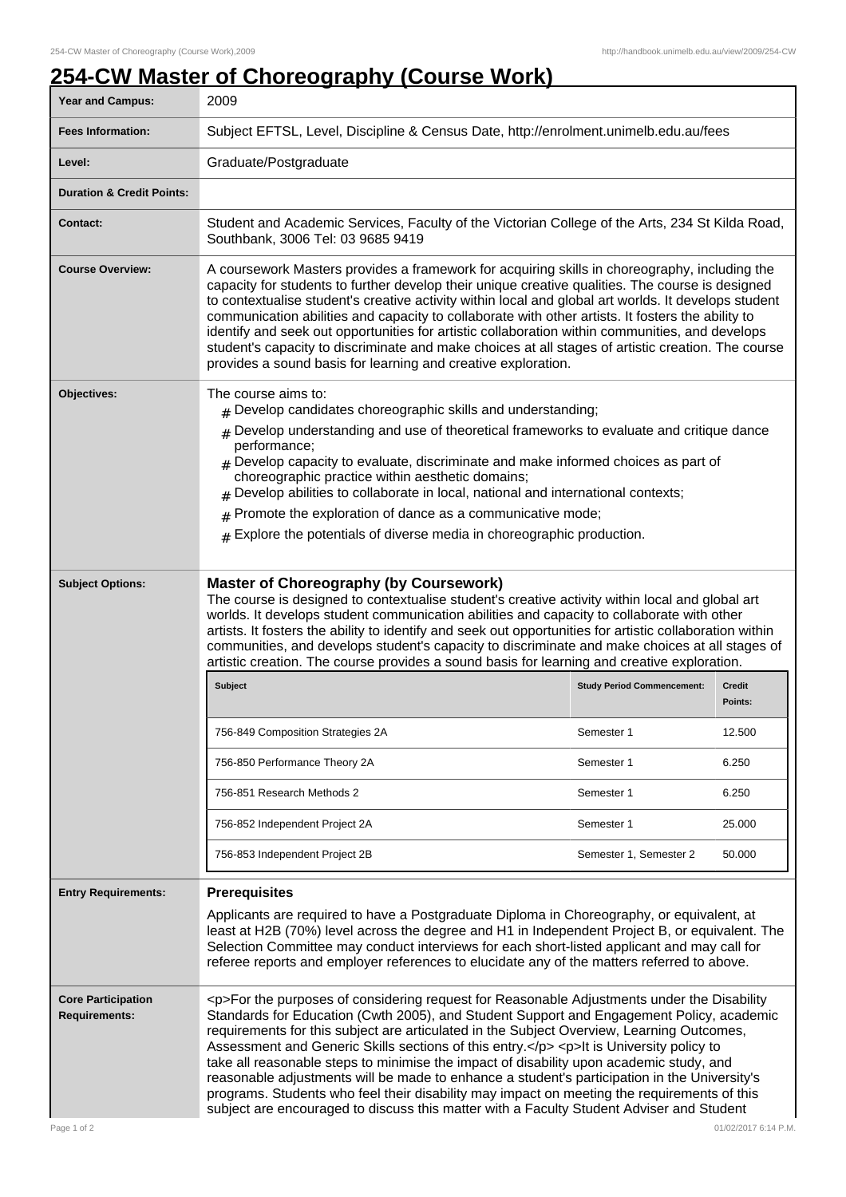## **254-CW Master of Choreography (Course Work)**

| Year and Campus:                                                 | 2009                                                                                                                                                                                                                                                                                                                                                                                                                                                                                                                                                                                                                                                                                                                                                                                                     |                        |         |
|------------------------------------------------------------------|----------------------------------------------------------------------------------------------------------------------------------------------------------------------------------------------------------------------------------------------------------------------------------------------------------------------------------------------------------------------------------------------------------------------------------------------------------------------------------------------------------------------------------------------------------------------------------------------------------------------------------------------------------------------------------------------------------------------------------------------------------------------------------------------------------|------------------------|---------|
| <b>Fees Information:</b>                                         | Subject EFTSL, Level, Discipline & Census Date, http://enrolment.unimelb.edu.au/fees                                                                                                                                                                                                                                                                                                                                                                                                                                                                                                                                                                                                                                                                                                                     |                        |         |
| Level:                                                           | Graduate/Postgraduate                                                                                                                                                                                                                                                                                                                                                                                                                                                                                                                                                                                                                                                                                                                                                                                    |                        |         |
| <b>Duration &amp; Credit Points:</b>                             |                                                                                                                                                                                                                                                                                                                                                                                                                                                                                                                                                                                                                                                                                                                                                                                                          |                        |         |
| <b>Contact:</b>                                                  | Student and Academic Services, Faculty of the Victorian College of the Arts, 234 St Kilda Road,<br>Southbank, 3006 Tel: 03 9685 9419                                                                                                                                                                                                                                                                                                                                                                                                                                                                                                                                                                                                                                                                     |                        |         |
| <b>Course Overview:</b>                                          | A coursework Masters provides a framework for acquiring skills in choreography, including the<br>capacity for students to further develop their unique creative qualities. The course is designed<br>to contextualise student's creative activity within local and global art worlds. It develops student<br>communication abilities and capacity to collaborate with other artists. It fosters the ability to<br>identify and seek out opportunities for artistic collaboration within communities, and develops<br>student's capacity to discriminate and make choices at all stages of artistic creation. The course<br>provides a sound basis for learning and creative exploration.                                                                                                                 |                        |         |
| Objectives:                                                      | The course aims to:<br>$#$ Develop candidates choreographic skills and understanding;<br>$#$ Develop understanding and use of theoretical frameworks to evaluate and critique dance<br>performance;<br>$#$ Develop capacity to evaluate, discriminate and make informed choices as part of<br>choreographic practice within aesthetic domains;                                                                                                                                                                                                                                                                                                                                                                                                                                                           |                        |         |
|                                                                  | Develop abilities to collaborate in local, national and international contexts;<br>Promote the exploration of dance as a communicative mode;<br>#<br>$#$ Explore the potentials of diverse media in choreographic production.                                                                                                                                                                                                                                                                                                                                                                                                                                                                                                                                                                            |                        |         |
| <b>Subject Options:</b>                                          | <b>Master of Choreography (by Coursework)</b><br>The course is designed to contextualise student's creative activity within local and global art<br>worlds. It develops student communication abilities and capacity to collaborate with other<br>artists. It fosters the ability to identify and seek out opportunities for artistic collaboration within<br>communities, and develops student's capacity to discriminate and make choices at all stages of<br>artistic creation. The course provides a sound basis for learning and creative exploration.<br><b>Subject</b><br><b>Study Period Commencement:</b><br><b>Credit</b>                                                                                                                                                                      |                        |         |
|                                                                  |                                                                                                                                                                                                                                                                                                                                                                                                                                                                                                                                                                                                                                                                                                                                                                                                          |                        | Points: |
|                                                                  | 756-849 Composition Strategies 2A                                                                                                                                                                                                                                                                                                                                                                                                                                                                                                                                                                                                                                                                                                                                                                        | Semester 1             | 12.500  |
|                                                                  | 756-850 Performance Theory 2A                                                                                                                                                                                                                                                                                                                                                                                                                                                                                                                                                                                                                                                                                                                                                                            | Semester 1             | 6.250   |
|                                                                  | 756-851 Research Methods 2                                                                                                                                                                                                                                                                                                                                                                                                                                                                                                                                                                                                                                                                                                                                                                               | Semester 1             | 6.250   |
|                                                                  | 756-852 Independent Project 2A                                                                                                                                                                                                                                                                                                                                                                                                                                                                                                                                                                                                                                                                                                                                                                           | Semester 1             | 25.000  |
|                                                                  | 756-853 Independent Project 2B                                                                                                                                                                                                                                                                                                                                                                                                                                                                                                                                                                                                                                                                                                                                                                           | Semester 1, Semester 2 | 50.000  |
| <b>Entry Requirements:</b>                                       | <b>Prerequisites</b>                                                                                                                                                                                                                                                                                                                                                                                                                                                                                                                                                                                                                                                                                                                                                                                     |                        |         |
|                                                                  | Applicants are required to have a Postgraduate Diploma in Choreography, or equivalent, at<br>least at H2B (70%) level across the degree and H1 in Independent Project B, or equivalent. The<br>Selection Committee may conduct interviews for each short-listed applicant and may call for<br>referee reports and employer references to elucidate any of the matters referred to above.                                                                                                                                                                                                                                                                                                                                                                                                                 |                        |         |
| <b>Core Participation</b><br><b>Requirements:</b><br>Page 1 of 2 | <p>For the purposes of considering request for Reasonable Adjustments under the Disability<br/>Standards for Education (Cwth 2005), and Student Support and Engagement Policy, academic<br/>requirements for this subject are articulated in the Subject Overview, Learning Outcomes,<br/>Assessment and Generic Skills sections of this entry.</p> <p>lt is University policy to<br/>take all reasonable steps to minimise the impact of disability upon academic study, and<br/>reasonable adjustments will be made to enhance a student's participation in the University's<br/>programs. Students who feel their disability may impact on meeting the requirements of this<br/>subject are encouraged to discuss this matter with a Faculty Student Adviser and Student<br/>01/02/2017 6:14 P.M.</p> |                        |         |